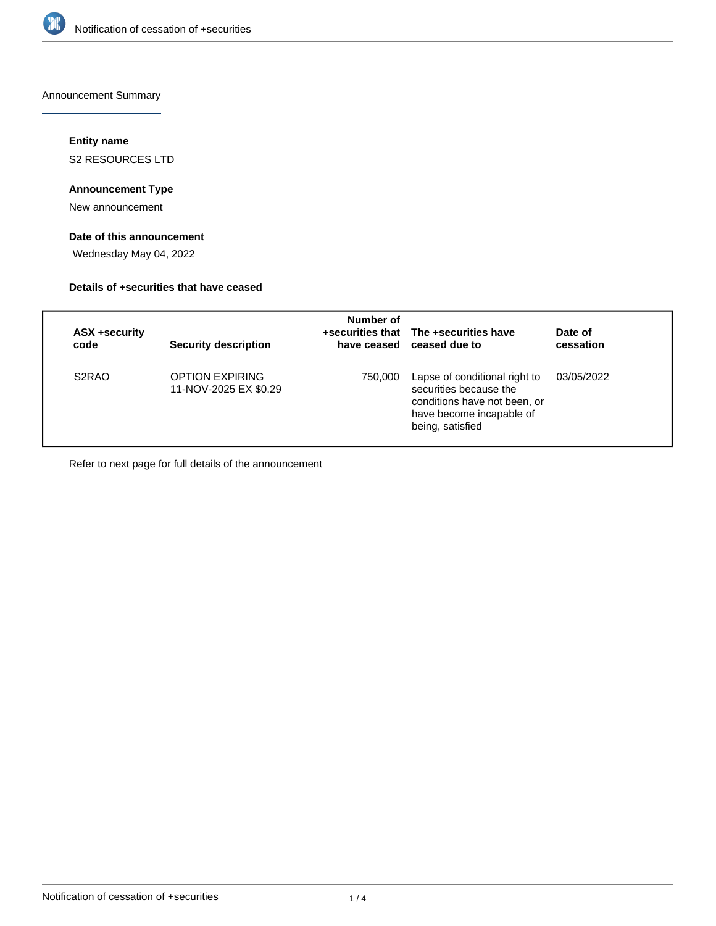

Announcement Summary

# **Entity name**

S2 RESOURCES LTD

## **Announcement Type**

New announcement

# **Date of this announcement**

Wednesday May 04, 2022

## **Details of +securities that have ceased**

| ASX +security<br>code          | <b>Security description</b>              | Number of | +securities that The +securities have<br>have ceased ceased due to                                                                      | Date of<br>cessation |
|--------------------------------|------------------------------------------|-----------|-----------------------------------------------------------------------------------------------------------------------------------------|----------------------|
| S <sub>2</sub> R <sub>AO</sub> | OPTION EXPIRING<br>11-NOV-2025 EX \$0.29 | 750.000   | Lapse of conditional right to<br>securities because the<br>conditions have not been, or<br>have become incapable of<br>being, satisfied | 03/05/2022           |

Refer to next page for full details of the announcement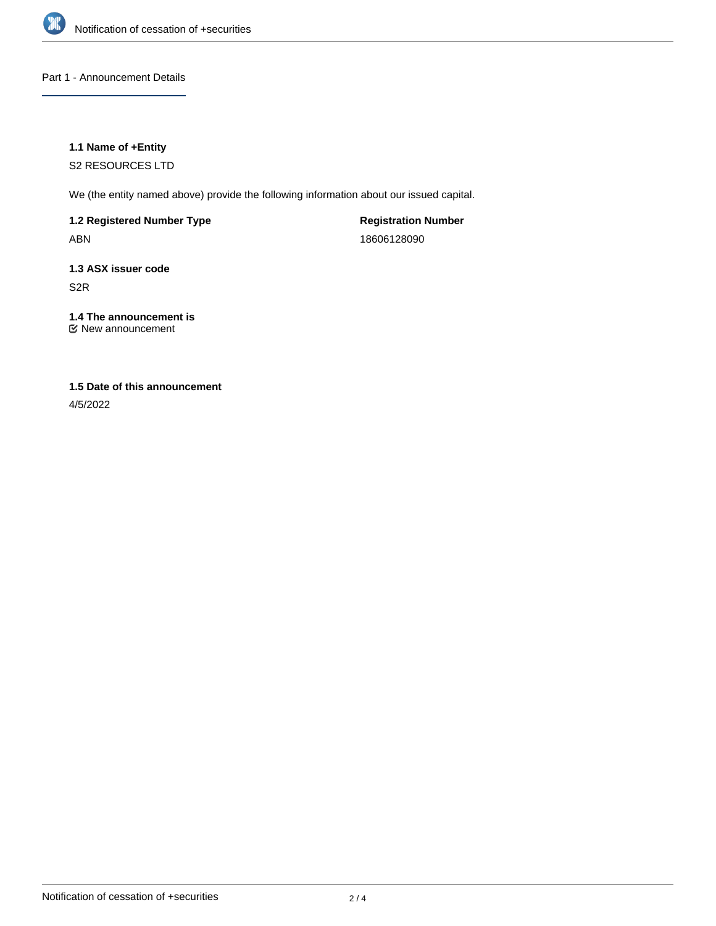

## Part 1 - Announcement Details

### **1.1 Name of +Entity**

S2 RESOURCES LTD

We (the entity named above) provide the following information about our issued capital.

**1.2 Registered Number Type** ABN

**Registration Number** 18606128090

**1.3 ASX issuer code** S2R

**1.4 The announcement is** New announcement

# **1.5 Date of this announcement**

4/5/2022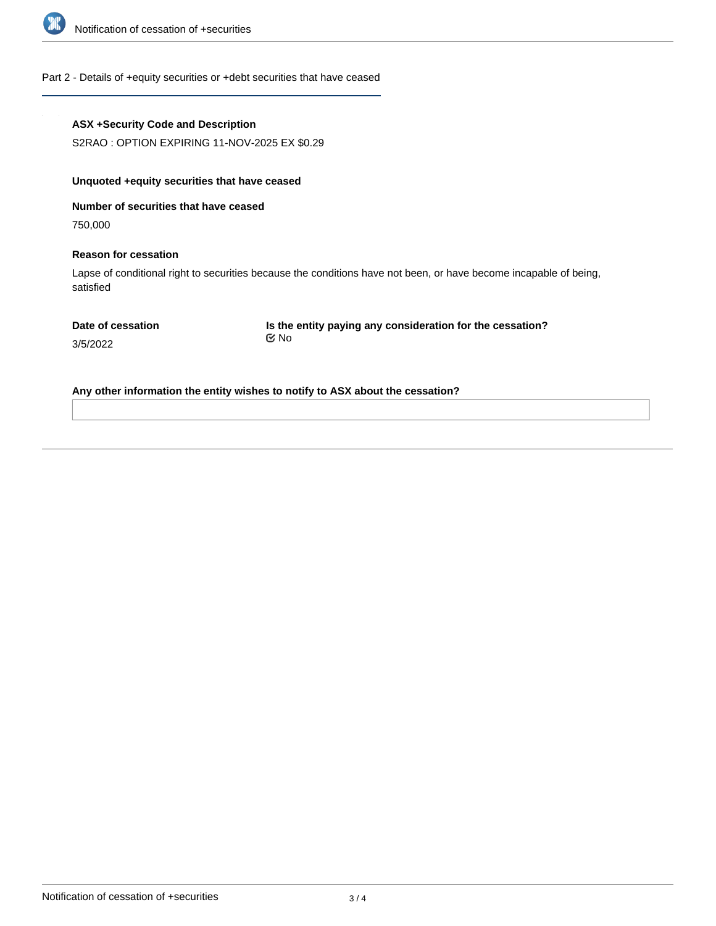

### Part 2 - Details of +equity securities or +debt securities that have ceased

### **ASX +Security Code and Description**

S2RAO : OPTION EXPIRING 11-NOV-2025 EX \$0.29

#### **Unquoted +equity securities that have ceased**

**Number of securities that have ceased**

750,000

3/5/2022

#### **Reason for cessation**

Lapse of conditional right to securities because the conditions have not been, or have become incapable of being, satisfied

**Is the entity paying any consideration for the cessation?** No

**Any other information the entity wishes to notify to ASX about the cessation?**